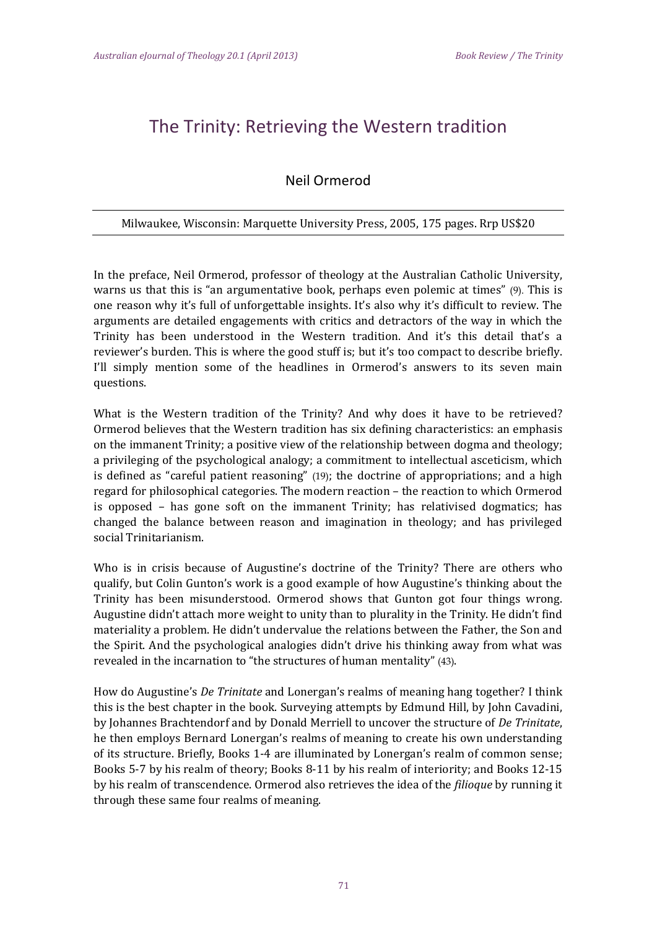## The Trinity: Retrieving the Western tradition

## Neil Ormerod

## Milwaukee, Wisconsin: Marquette University Press, 2005, 175 pages. Rrp US\$20

In the preface, Neil Ormerod, professor of theology at the Australian Catholic University, warns us that this is "an argumentative book, perhaps even polemic at times"  $(9)$ . This is one reason why it's full of unforgettable insights. It's also why it's difficult to review. The arguments are detailed engagements with critics and detractors of the way in which the Trinity has been understood in the Western tradition. And it's this detail that's a reviewer's burden. This is where the good stuff is; but it's too compact to describe briefly. I'll simply mention some of the headlines in Ormerod's answers to its seven main questions. 

What is the Western tradition of the Trinity? And why does it have to be retrieved? Ormerod believes that the Western tradition has six defining characteristics: an emphasis on the immanent Trinity; a positive view of the relationship between dogma and theology; a privileging of the psychological analogy; a commitment to intellectual asceticism, which is defined as "careful patient reasoning" (19); the doctrine of appropriations; and a high regard for philosophical categories. The modern reaction – the reaction to which Ormerod is opposed  $-$  has gone soft on the immanent Trinity; has relativised dogmatics; has changed the balance between reason and imagination in theology; and has privileged social Trinitarianism. 

Who is in crisis because of Augustine's doctrine of the Trinity? There are others who qualify, but Colin Gunton's work is a good example of how Augustine's thinking about the Trinity has been misunderstood. Ormerod shows that Gunton got four things wrong. Augustine didn't attach more weight to unity than to plurality in the Trinity. He didn't find materiality a problem. He didn't undervalue the relations between the Father, the Son and the Spirit. And the psychological analogies didn't drive his thinking away from what was revealed in the incarnation to "the structures of human mentality" (43).

How do Augustine's *De Trinitate* and Lonergan's realms of meaning hang together? I think this is the best chapter in the book. Surveying attempts by Edmund Hill, by John Cavadini, by Johannes Brachtendorf and by Donald Merriell to uncover the structure of *De Trinitate*, he then employs Bernard Lonergan's realms of meaning to create his own understanding of its structure. Briefly, Books 1-4 are illuminated by Lonergan's realm of common sense; Books 5-7 by his realm of theory; Books 8-11 by his realm of interiority; and Books 12-15 by his realm of transcendence. Ormerod also retrieves the idea of the *filioque* by running it through these same four realms of meaning.